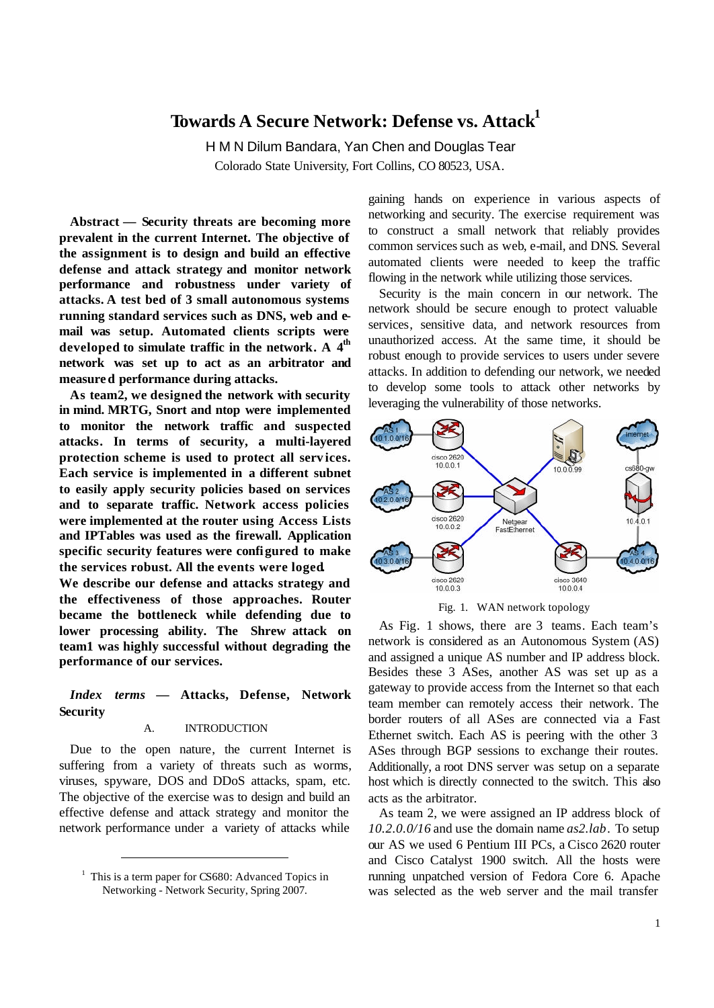# **Towards A Secure Network: Defense vs. Attack<sup>1</sup>**

H M N Dilum Bandara, Yan Chen and Douglas Tear Colorado State University, Fort Collins, CO 80523, USA.

**Abstract — Security threats are becoming more prevalent in the current Internet. The objective of the assignment is to design and build an effective defense and attack strategy and monitor network performance and robustness under variety of attacks. A test bed of 3 small autonomous systems running standard services such as DNS, web and email was setup. Automated clients scripts were** developed to simulate traffic in the network. A 4<sup>th</sup> **network was set up to act as an arbitrator and measured performance during attacks.** 

**As team2, we designed the network with security in mind. MRTG, Snort and ntop were implemented to monitor the network traffic and suspected attacks. In terms of security, a multi-layered protection scheme is used to protect all serv ices. Each service is implemented in a different subnet to easily apply security policies based on services and to separate traffic. Network access policies were implemented at the router using Access Lists and IPTables was used as the firewall. Application specific security features were confi gured to make the services robust. All the events were loged.** 

**We describe our defense and attacks strategy and the effectiveness of those approaches. Router became the bottleneck while defending due to lower processing ability. The Shrew attack on team1 was highly successful without degrading the performance of our services.**

# *Index terms* **— Attacks, Defense, Network Security**

## A. INTRODUCTION

Due to the open nature, the current Internet is suffering from a variety of threats such as worms, viruses, spyware, DOS and DDoS attacks, spam, etc. The objective of the exercise was to design and build an effective defense and attack strategy and monitor the network performance under a variety of attacks while

l

gaining hands on experience in various aspects of networking and security. The exercise requirement was to construct a small network that reliably provides common services such as web, e-mail, and DNS. Several automated clients were needed to keep the traffic flowing in the network while utilizing those services.

Security is the main concern in our network. The network should be secure enough to protect valuable services, sensitive data, and network resources from unauthorized access. At the same time, it should be robust enough to provide services to users under severe attacks. In addition to defending our network, we needed to develop some tools to attack other networks by leveraging the vulnerability of those networks.



Fig. 1. WAN network topology

As Fig. 1 shows, there are 3 teams. Each team's network is considered as an Autonomous System (AS) and assigned a unique AS number and IP address block. Besides these 3 ASes, another AS was set up as a gateway to provide access from the Internet so that each team member can remotely access their network. The border routers of all ASes are connected via a Fast Ethernet switch. Each AS is peering with the other 3 ASes through BGP sessions to exchange their routes. Additionally, a root DNS server was setup on a separate host which is directly connected to the switch. This also acts as the arbitrator.

As team 2, we were assigned an IP address block of *10.2.0.0/16* and use the domain name *as2.lab*. To setup our AS we used 6 Pentium III PCs, a Cisco 2620 router and Cisco Catalyst 1900 switch. All the hosts were running unpatched version of Fedora Core 6. Apache was selected as the web server and the mail transfer

<sup>&</sup>lt;sup>1</sup> This is a term paper for CS680: Advanced Topics in Networking - Network Security, Spring 2007.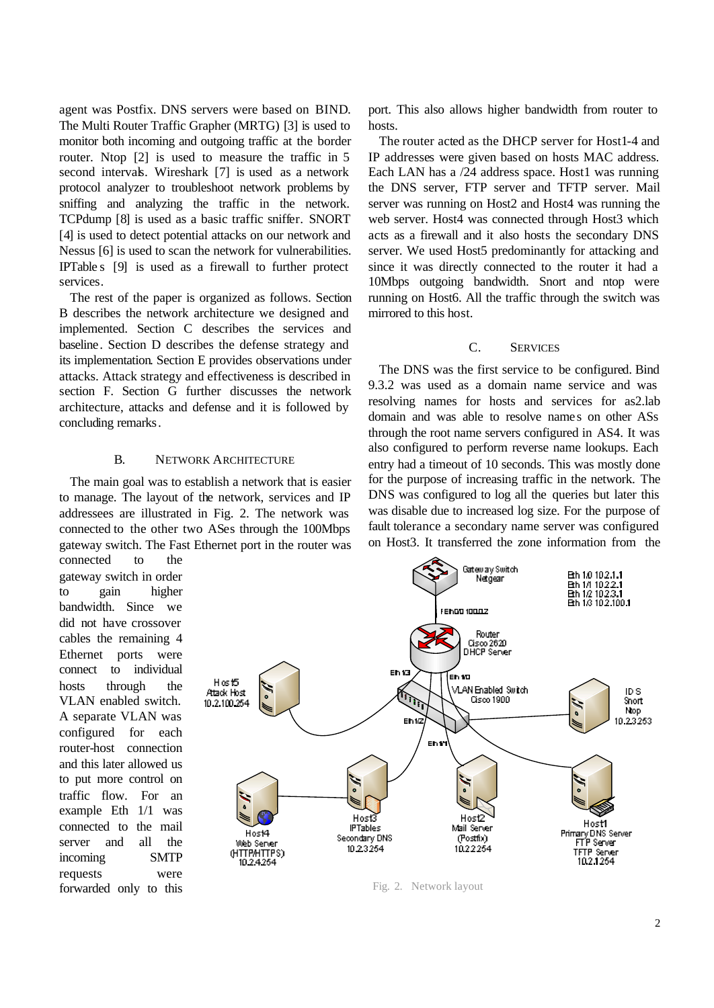agent was Postfix. DNS servers were based on BIND. The Multi Router Traffic Grapher (MRTG) [3] is used to monitor both incoming and outgoing traffic at the border router. Ntop [2] is used to measure the traffic in 5 second intervals. Wireshark [7] is used as a network protocol analyzer to troubleshoot network problems by sniffing and analyzing the traffic in the network. TCPdump [8] is used as a basic traffic sniffer. SNORT [4] is used to detect potential attacks on our network and Nessus [6] is used to scan the network for vulnerabilities. IPTable s [9] is used as a firewall to further protect services.

The rest of the paper is organized as follows. Section B describes the network architecture we designed and implemented. Section C describes the services and baseline. Section D describes the defense strategy and its implementation. Section E provides observations under attacks. Attack strategy and effectiveness is described in section F. Section G further discusses the network architecture, attacks and defense and it is followed by concluding remarks.

#### B. NETWORK ARCHITECTURE

The main goal was to establish a network that is easier to manage. The layout of the network, services and IP addressees are illustrated in Fig. 2. The network was connected to the other two ASes through the 100Mbps gateway switch. The Fast Ethernet port in the router was

connected to the gateway switch in order to gain higher bandwidth. Since we did not have crossover cables the remaining 4 Ethernet ports were connect to individual hosts through the VLAN enabled switch. A separate VLAN was configured for each router-host connection and this later allowed us to put more control on traffic flow. For an example Eth 1/1 was connected to the mail server and all the incoming SMTP requests were forwarded only to this

port. This also allows higher bandwidth from router to hosts.

The router acted as the DHCP server for Host1-4 and IP addresses were given based on hosts MAC address. Each LAN has a /24 address space. Host1 was running the DNS server, FTP server and TFTP server. Mail server was running on Host2 and Host4 was running the web server. Host4 was connected through Host3 which acts as a firewall and it also hosts the secondary DNS server. We used Host5 predominantly for attacking and since it was directly connected to the router it had a 10Mbps outgoing bandwidth. Snort and ntop were running on Host6. All the traffic through the switch was mirrored to this host.

## C. SERVICES

The DNS was the first service to be configured. Bind 9.3.2 was used as a domain name service and was resolving names for hosts and services for as2.lab domain and was able to resolve names on other ASs through the root name servers configured in AS4. It was also configured to perform reverse name lookups. Each entry had a timeout of 10 seconds. This was mostly done for the purpose of increasing traffic in the network. The DNS was configured to log all the queries but later this was disable due to increased log size. For the purpose of fault tolerance a secondary name server was configured on Host3. It transferred the zone information from the



Fig. 2. Network layout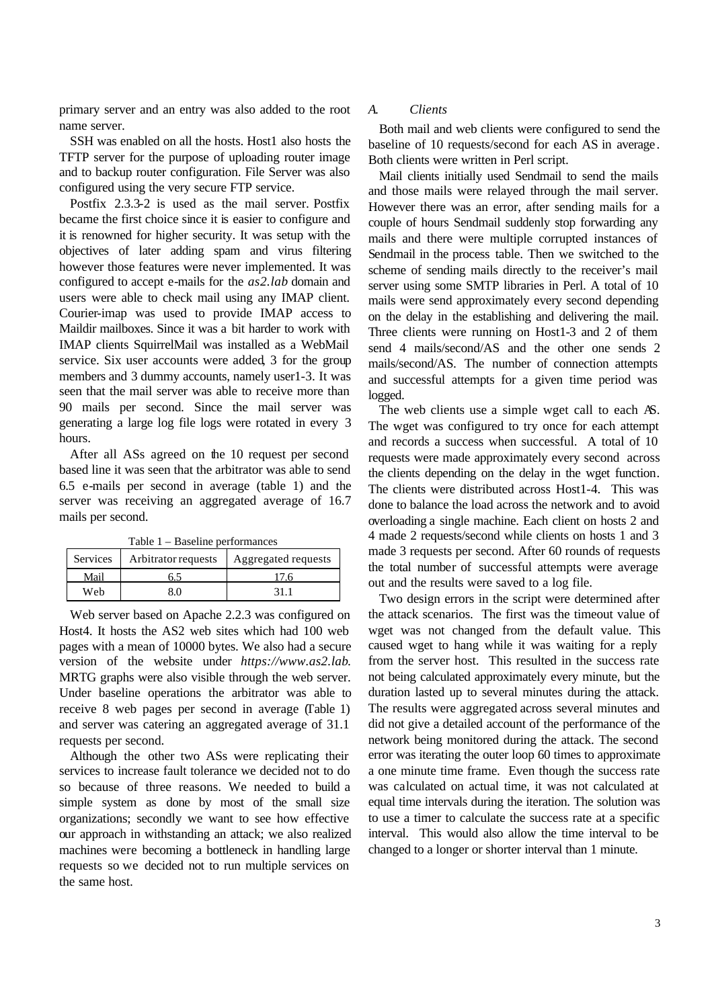primary server and an entry was also added to the root name server.

SSH was enabled on all the hosts. Host1 also hosts the TFTP server for the purpose of uploading router image and to backup router configuration. File Server was also configured using the very secure FTP service.

Postfix 2.3.3-2 is used as the mail server. Postfix became the first choice since it is easier to configure and it is renowned for higher security. It was setup with the objectives of later adding spam and virus filtering however those features were never implemented. It was configured to accept e-mails for the *as2.lab* domain and users were able to check mail using any IMAP client. Courier-imap was used to provide IMAP access to Maildir mailboxes. Since it was a bit harder to work with IMAP clients SquirrelMail was installed as a WebMail service. Six user accounts were added, 3 for the group members and 3 dummy accounts, namely user1-3. It was seen that the mail server was able to receive more than 90 mails per second. Since the mail server was generating a large log file logs were rotated in every 3 hours.

After all ASs agreed on the 10 request per second based line it was seen that the arbitrator was able to send 6.5 e-mails per second in average (table 1) and the server was receiving an aggregated average of 16.7 mails per second.

| Table 1 – Baseline performances |
|---------------------------------|
|---------------------------------|

| Services | Arbitrator requests | Aggregated requests |  |
|----------|---------------------|---------------------|--|
| Mail     |                     |                     |  |
| Web      | ९ ०                 | 31.                 |  |

Web server based on Apache 2.2.3 was configured on Host4. It hosts the AS2 web sites which had 100 web pages with a mean of 10000 bytes. We also had a secure version of the website under *https://www.as2.lab*. MRTG graphs were also visible through the web server. Under baseline operations the arbitrator was able to receive 8 web pages per second in average (Table 1) and server was catering an aggregated average of 31.1 requests per second.

Although the other two ASs were replicating their services to increase fault tolerance we decided not to do so because of three reasons. We needed to build a simple system as done by most of the small size organizations; secondly we want to see how effective our approach in withstanding an attack; we also realized machines were becoming a bottleneck in handling large requests so we decided not to run multiple services on the same host.

### *A. Clients*

Both mail and web clients were configured to send the baseline of 10 requests/second for each AS in average. Both clients were written in Perl script.

Mail clients initially used Sendmail to send the mails and those mails were relayed through the mail server. However there was an error, after sending mails for a couple of hours Sendmail suddenly stop forwarding any mails and there were multiple corrupted instances of Sendmail in the process table. Then we switched to the scheme of sending mails directly to the receiver's mail server using some SMTP libraries in Perl. A total of 10 mails were send approximately every second depending on the delay in the establishing and delivering the mail. Three clients were running on Host1-3 and 2 of them send 4 mails/second/AS and the other one sends 2 mails/second/AS. The number of connection attempts and successful attempts for a given time period was logged.

The web clients use a simple wget call to each AS. The wget was configured to try once for each attempt and records a success when successful. A total of 10 requests were made approximately every second across the clients depending on the delay in the wget function. The clients were distributed across Host1-4. This was done to balance the load across the network and to avoid overloading a single machine. Each client on hosts 2 and 4 made 2 requests/second while clients on hosts 1 and 3 made 3 requests per second. After 60 rounds of requests the total number of successful attempts were average out and the results were saved to a log file.

Two design errors in the script were determined after the attack scenarios. The first was the timeout value of wget was not changed from the default value. This caused wget to hang while it was waiting for a reply from the server host. This resulted in the success rate not being calculated approximately every minute, but the duration lasted up to several minutes during the attack. The results were aggregated across several minutes and did not give a detailed account of the performance of the network being monitored during the attack. The second error was iterating the outer loop 60 times to approximate a one minute time frame. Even though the success rate was calculated on actual time, it was not calculated at equal time intervals during the iteration. The solution was to use a timer to calculate the success rate at a specific interval. This would also allow the time interval to be changed to a longer or shorter interval than 1 minute.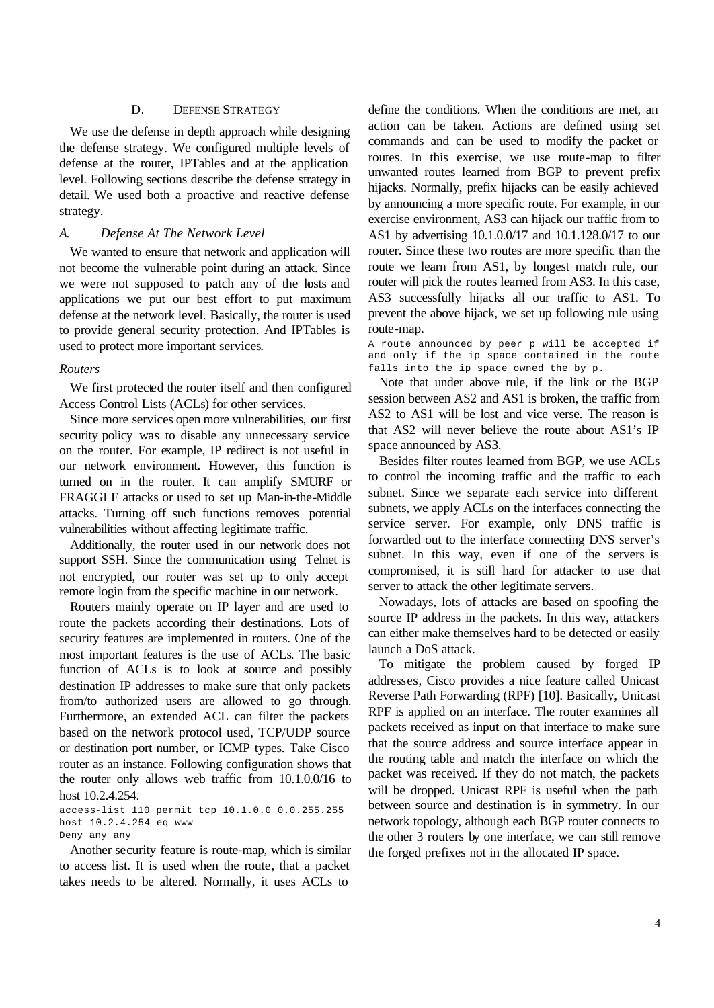## D. DEFENSE STRATEGY

We use the defense in depth approach while designing the defense strategy. We configured multiple levels of defense at the router, IPTables and at the application level. Following sections describe the defense strategy in detail. We used both a proactive and reactive defense strategy.

#### *A. Defense At The Network Level*

We wanted to ensure that network and application will not become the vulnerable point during an attack. Since we were not supposed to patch any of the hosts and applications we put our best effort to put maximum defense at the network level. Basically, the router is used to provide general security protection. And IPTables is used to protect more important services.

#### *Routers*

We first protected the router itself and then configured Access Control Lists (ACLs) for other services.

Since more services open more vulnerabilities, our first security policy was to disable any unnecessary service on the router. For example, IP redirect is not useful in our network environment. However, this function is turned on in the router. It can amplify SMURF or FRAGGLE attacks or used to set up Man-in-the-Middle attacks. Turning off such functions removes potential vulnerabilities without affecting legitimate traffic.

Additionally, the router used in our network does not support SSH. Since the communication using Telnet is not encrypted, our router was set up to only accept remote login from the specific machine in our network.

Routers mainly operate on IP layer and are used to route the packets according their destinations. Lots of security features are implemented in routers. One of the most important features is the use of ACLs. The basic function of ACLs is to look at source and possibly destination IP addresses to make sure that only packets from/to authorized users are allowed to go through. Furthermore, an extended ACL can filter the packets based on the network protocol used, TCP/UDP source or destination port number, or ICMP types. Take Cisco router as an instance. Following configuration shows that the router only allows web traffic from 10.1.0.0/16 to host 10.2.4.254.

access-list 110 permit tcp 10.1.0.0 0.0.255.255 host 10.2.4.254 eq www Deny any any

Another security feature is route-map, which is similar to access list. It is used when the route, that a packet takes needs to be altered. Normally, it uses ACLs to

define the conditions. When the conditions are met, an action can be taken. Actions are defined using set commands and can be used to modify the packet or routes. In this exercise, we use route-map to filter unwanted routes learned from BGP to prevent prefix hijacks. Normally, prefix hijacks can be easily achieved by announcing a more specific route. For example, in our exercise environment, AS3 can hijack our traffic from to AS1 by advertising 10.1.0.0/17 and 10.1.128.0/17 to our router. Since these two routes are more specific than the route we learn from AS1, by longest match rule, our router will pick the routes learned from AS3. In this case, AS3 successfully hijacks all our traffic to AS1. To prevent the above hijack, we set up following rule using route-map.

A route announced by peer p will be accepted if and only if the ip space contained in the route falls into the ip space owned the by p.

Note that under above rule, if the link or the BGP session between AS2 and AS1 is broken, the traffic from AS2 to AS1 will be lost and vice verse. The reason is that AS2 will never believe the route about AS1's IP space announced by AS3.

Besides filter routes learned from BGP, we use ACLs to control the incoming traffic and the traffic to each subnet. Since we separate each service into different subnets, we apply ACLs on the interfaces connecting the service server. For example, only DNS traffic is forwarded out to the interface connecting DNS server's subnet. In this way, even if one of the servers is compromised, it is still hard for attacker to use that server to attack the other legitimate servers.

Nowadays, lots of attacks are based on spoofing the source IP address in the packets. In this way, attackers can either make themselves hard to be detected or easily launch a DoS attack.

To mitigate the problem caused by forged IP addresses, Cisco provides a nice feature called Unicast Reverse Path Forwarding (RPF) [10]. Basically, Unicast RPF is applied on an interface. The router examines all packets received as input on that interface to make sure that the source address and source interface appear in the routing table and match the interface on which the packet was received. If they do not match, the packets will be dropped. Unicast RPF is useful when the path between source and destination is in symmetry. In our network topology, although each BGP router connects to the other 3 routers by one interface, we can still remove the forged prefixes not in the allocated IP space.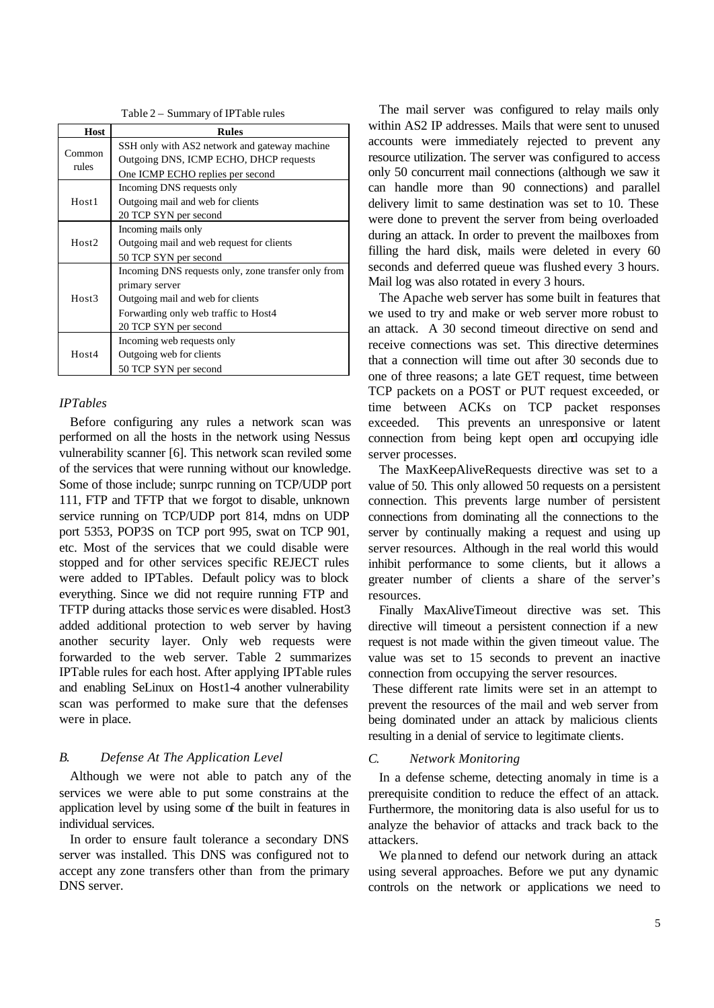Table 2 – Summary of IPTable rules

| Host              | <b>Rules</b>                                                                                                                                                                |  |  |  |  |
|-------------------|-----------------------------------------------------------------------------------------------------------------------------------------------------------------------------|--|--|--|--|
| Common<br>rules   | SSH only with AS2 network and gateway machine<br>Outgoing DNS, ICMP ECHO, DHCP requests<br>One ICMP ECHO replies per second                                                 |  |  |  |  |
| Host1             | Incoming DNS requests only<br>Outgoing mail and web for clients<br>20 TCP SYN per second                                                                                    |  |  |  |  |
| Host <sub>2</sub> | Incoming mails only<br>Outgoing mail and web request for clients<br>50 TCP SYN per second                                                                                   |  |  |  |  |
| Host3             | Incoming DNS requests only, zone transfer only from<br>primary server<br>Outgoing mail and web for clients<br>Forwarding only web traffic to Host4<br>20 TCP SYN per second |  |  |  |  |
| Host4             | Incoming web requests only<br>Outgoing web for clients<br>50 TCP SYN per second                                                                                             |  |  |  |  |

## *IPTables*

Before configuring any rules a network scan was performed on all the hosts in the network using Nessus vulnerability scanner [6]. This network scan reviled some of the services that were running without our knowledge. Some of those include; sunrpc running on TCP/UDP port 111, FTP and TFTP that we forgot to disable, unknown service running on TCP/UDP port 814, mdns on UDP port 5353, POP3S on TCP port 995, swat on TCP 901, etc. Most of the services that we could disable were stopped and for other services specific REJECT rules were added to IPTables. Default policy was to block everything. Since we did not require running FTP and TFTP during attacks those servic es were disabled. Host3 added additional protection to web server by having another security layer. Only web requests were forwarded to the web server. Table 2 summarizes IPTable rules for each host. After applying IPTable rules and enabling SeLinux on Host1-4 another vulnerability scan was performed to make sure that the defenses were in place.

# *B. Defense At The Application Level*

Although we were not able to patch any of the services we were able to put some constrains at the application level by using some of the built in features in individual services.

In order to ensure fault tolerance a secondary DNS server was installed. This DNS was configured not to accept any zone transfers other than from the primary DNS server.

The mail server was configured to relay mails only within AS2 IP addresses. Mails that were sent to unused accounts were immediately rejected to prevent any resource utilization. The server was configured to access only 50 concurrent mail connections (although we saw it can handle more than 90 connections) and parallel delivery limit to same destination was set to 10. These were done to prevent the server from being overloaded during an attack. In order to prevent the mailboxes from filling the hard disk, mails were deleted in every 60 seconds and deferred queue was flushed every 3 hours. Mail log was also rotated in every 3 hours.

The Apache web server has some built in features that we used to try and make or web server more robust to an attack. A 30 second timeout directive on send and receive connections was set. This directive determines that a connection will time out after 30 seconds due to one of three reasons; a late GET request, time between TCP packets on a POST or PUT request exceeded, or time between ACKs on TCP packet responses exceeded. This prevents an unresponsive or latent connection from being kept open and occupying idle server processes.

The MaxKeepAliveRequests directive was set to a value of 50. This only allowed 50 requests on a persistent connection. This prevents large number of persistent connections from dominating all the connections to the server by continually making a request and using up server resources. Although in the real world this would inhibit performance to some clients, but it allows a greater number of clients a share of the server's resources.

Finally MaxAliveTimeout directive was set. This directive will timeout a persistent connection if a new request is not made within the given timeout value. The value was set to 15 seconds to prevent an inactive connection from occupying the server resources.

These different rate limits were set in an attempt to prevent the resources of the mail and web server from being dominated under an attack by malicious clients resulting in a denial of service to legitimate clients.

## *C. Network Monitoring*

In a defense scheme, detecting anomaly in time is a prerequisite condition to reduce the effect of an attack. Furthermore, the monitoring data is also useful for us to analyze the behavior of attacks and track back to the attackers.

We planned to defend our network during an attack using several approaches. Before we put any dynamic controls on the network or applications we need to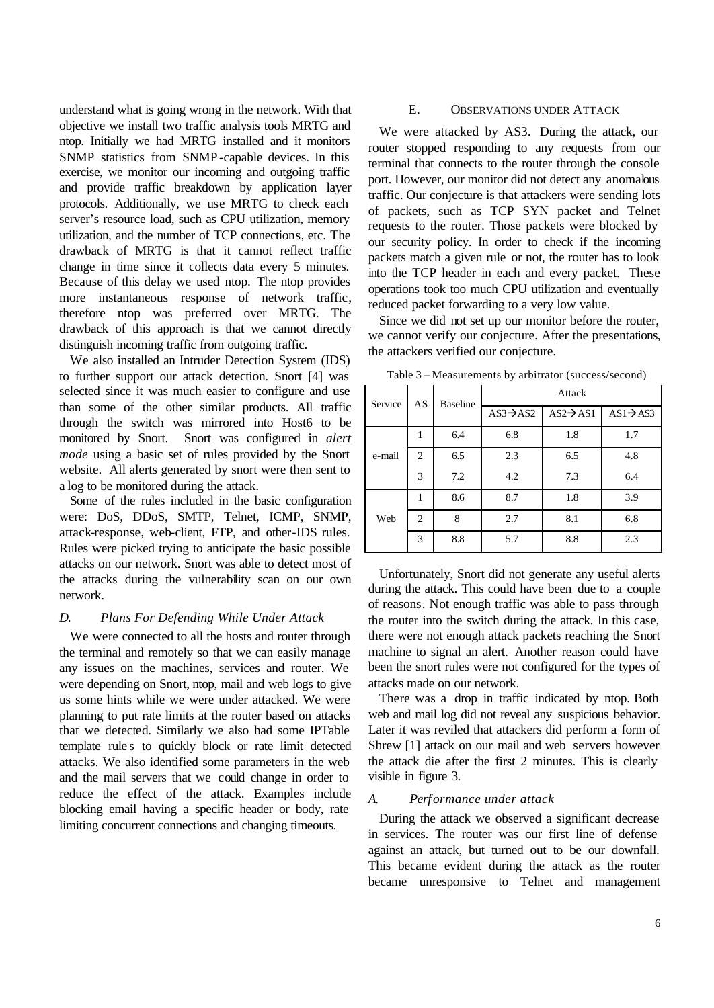understand what is going wrong in the network. With that objective we install two traffic analysis tools MRTG and ntop. Initially we had MRTG installed and it monitors SNMP statistics from SNMP-capable devices. In this exercise, we monitor our incoming and outgoing traffic and provide traffic breakdown by application layer protocols. Additionally, we use MRTG to check each server's resource load, such as CPU utilization, memory utilization, and the number of TCP connections, etc. The drawback of MRTG is that it cannot reflect traffic change in time since it collects data every 5 minutes. Because of this delay we used ntop. The ntop provides more instantaneous response of network traffic, therefore ntop was preferred over MRTG. The drawback of this approach is that we cannot directly distinguish incoming traffic from outgoing traffic.

We also installed an Intruder Detection System (IDS) to further support our attack detection. Snort [4] was selected since it was much easier to configure and use than some of the other similar products. All traffic through the switch was mirrored into Host6 to be monitored by Snort. Snort was configured in *alert mode* using a basic set of rules provided by the Snort website. All alerts generated by snort were then sent to a log to be monitored during the attack.

Some of the rules included in the basic configuration were: DoS, DDoS, SMTP, Telnet, ICMP, SNMP, attack-response, web-client, FTP, and other-IDS rules. Rules were picked trying to anticipate the basic possible attacks on our network. Snort was able to detect most of the attacks during the vulnerability scan on our own network.

## *D. Plans For Defending While Under Attack*

We were connected to all the hosts and router through the terminal and remotely so that we can easily manage any issues on the machines, services and router. We were depending on Snort, ntop, mail and web logs to give us some hints while we were under attacked. We were planning to put rate limits at the router based on attacks that we detected. Similarly we also had some IPTable template rule s to quickly block or rate limit detected attacks. We also identified some parameters in the web and the mail servers that we could change in order to reduce the effect of the attack. Examples include blocking email having a specific header or body, rate limiting concurrent connections and changing timeouts.

#### E. OBSERVATIONS UNDER ATTACK

We were attacked by AS3. During the attack, our router stopped responding to any requests from our terminal that connects to the router through the console port. However, our monitor did not detect any anomalous traffic. Our conjecture is that attackers were sending lots of packets, such as TCP SYN packet and Telnet requests to the router. Those packets were blocked by our security policy. In order to check if the incoming packets match a given rule or not, the router has to look into the TCP header in each and every packet. These operations took too much CPU utilization and eventually reduced packet forwarding to a very low value.

Since we did not set up our monitor before the router, we cannot verify our conjecture. After the presentations, the attackers verified our conjecture.

| Service | AS | <b>Baseline</b> | Attack                |                       |                       |
|---------|----|-----------------|-----------------------|-----------------------|-----------------------|
|         |    |                 | $AS3 \rightarrow AS2$ | $AS2 \rightarrow AS1$ | $AS1 \rightarrow AS3$ |
| e-mail  |    | 6.4             | 6.8                   | 1.8                   | 1.7                   |
|         | 2  | 6.5             | 2.3                   | 6.5                   | 4.8                   |
|         | 3  | 7.2             | 4.2                   | 7.3                   | 6.4                   |
| Web     | 1  | 8.6             | 8.7                   | 1.8                   | 3.9                   |
|         | 2  | 8               | 2.7                   | 8.1                   | 6.8                   |
|         | 3  | 8.8             | 5.7                   | 8.8                   | 2.3                   |

Table 3 – Measurements by arbitrator (success/second)

Unfortunately, Snort did not generate any useful alerts during the attack. This could have been due to a couple of reasons. Not enough traffic was able to pass through the router into the switch during the attack. In this case, there were not enough attack packets reaching the Snort machine to signal an alert. Another reason could have been the snort rules were not configured for the types of attacks made on our network.

There was a drop in traffic indicated by ntop. Both web and mail log did not reveal any suspicious behavior. Later it was reviled that attackers did perform a form of Shrew [1] attack on our mail and web servers however the attack die after the first 2 minutes. This is clearly visible in figure 3.

#### *A. Performance under attack*

During the attack we observed a significant decrease in services. The router was our first line of defense against an attack, but turned out to be our downfall. This became evident during the attack as the router became unresponsive to Telnet and management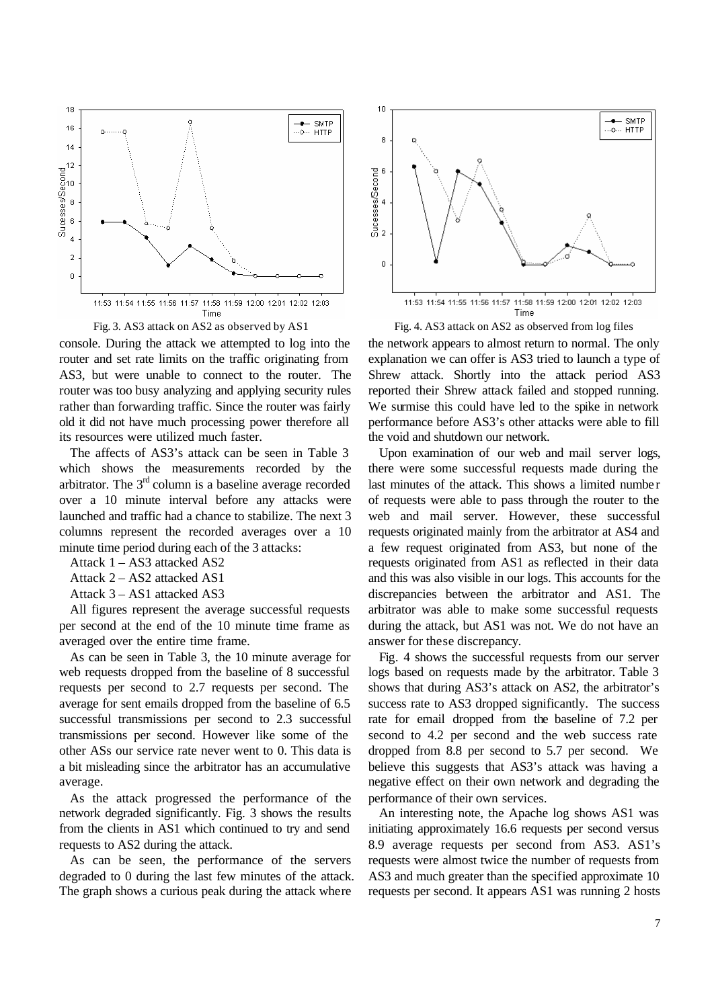

console. During the attack we attempted to log into the router and set rate limits on the traffic originating from AS3, but were unable to connect to the router. The router was too busy analyzing and applying security rules rather than forwarding traffic. Since the router was fairly old it did not have much processing power therefore all its resources were utilized much faster.

The affects of AS3's attack can be seen in Table 3 which shows the measurements recorded by the arbitrator. The  $3<sup>rd</sup>$  column is a baseline average recorded over a 10 minute interval before any attacks were launched and traffic had a chance to stabilize. The next 3 columns represent the recorded averages over a 10 minute time period during each of the 3 attacks:

Attack 1 – AS3 attacked AS2

Attack 2 – AS2 attacked AS1

Attack 3 – AS1 attacked AS3

All figures represent the average successful requests per second at the end of the 10 minute time frame as averaged over the entire time frame.

As can be seen in Table 3, the 10 minute average for web requests dropped from the baseline of 8 successful requests per second to 2.7 requests per second. The average for sent emails dropped from the baseline of 6.5 successful transmissions per second to 2.3 successful transmissions per second. However like some of the other ASs our service rate never went to 0. This data is a bit misleading since the arbitrator has an accumulative average.

As the attack progressed the performance of the network degraded significantly. Fig. 3 shows the results from the clients in AS1 which continued to try and send requests to AS2 during the attack.

As can be seen, the performance of the servers degraded to 0 during the last few minutes of the attack. The graph shows a curious peak during the attack where



Fig. 3. AS3 attack on AS2 as observed by AS1 Fig. 4. AS3 attack on AS2 as observed from log files

the network appears to almost return to normal. The only explanation we can offer is AS3 tried to launch a type of Shrew attack. Shortly into the attack period AS3 reported their Shrew attack failed and stopped running. We surmise this could have led to the spike in network performance before AS3's other attacks were able to fill the void and shutdown our network.

Upon examination of our web and mail server logs, there were some successful requests made during the last minutes of the attack. This shows a limited numbe r of requests were able to pass through the router to the web and mail server. However, these successful requests originated mainly from the arbitrator at AS4 and a few request originated from AS3, but none of the requests originated from AS1 as reflected in their data and this was also visible in our logs. This accounts for the discrepancies between the arbitrator and AS1. The arbitrator was able to make some successful requests during the attack, but AS1 was not. We do not have an answer for these discrepancy.

Fig. 4 shows the successful requests from our server logs based on requests made by the arbitrator. Table 3 shows that during AS3's attack on AS2, the arbitrator's success rate to AS3 dropped significantly. The success rate for email dropped from the baseline of 7.2 per second to 4.2 per second and the web success rate dropped from 8.8 per second to 5.7 per second. We believe this suggests that AS3's attack was having a negative effect on their own network and degrading the performance of their own services.

An interesting note, the Apache log shows AS1 was initiating approximately 16.6 requests per second versus 8.9 average requests per second from AS3. AS1's requests were almost twice the number of requests from AS3 and much greater than the specified approximate 10 requests per second. It appears AS1 was running 2 hosts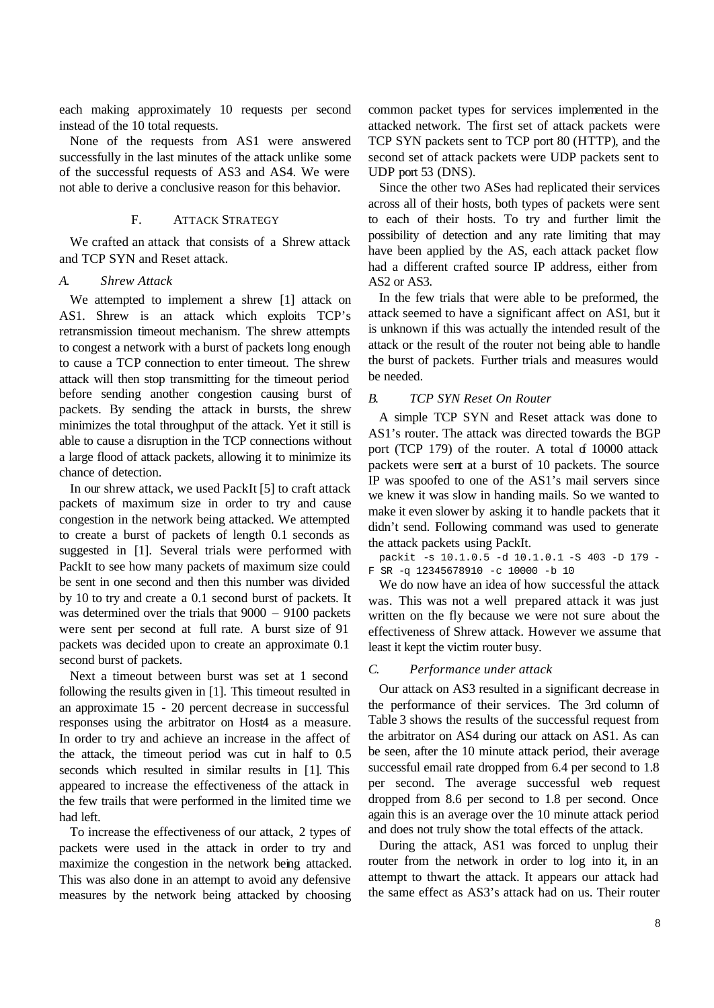each making approximately 10 requests per second instead of the 10 total requests.

None of the requests from AS1 were answered successfully in the last minutes of the attack unlike some of the successful requests of AS3 and AS4. We were not able to derive a conclusive reason for this behavior.

# F. ATTACK STRATEGY

We crafted an attack that consists of a Shrew attack and TCP SYN and Reset attack.

### *A. Shrew Attack*

We attempted to implement a shrew [1] attack on AS1. Shrew is an attack which exploits TCP's retransmission timeout mechanism. The shrew attempts to congest a network with a burst of packets long enough to cause a TCP connection to enter timeout. The shrew attack will then stop transmitting for the timeout period before sending another congestion causing burst of packets. By sending the attack in bursts, the shrew minimizes the total throughput of the attack. Yet it still is able to cause a disruption in the TCP connections without a large flood of attack packets, allowing it to minimize its chance of detection.

In our shrew attack, we used PackIt [5] to craft attack packets of maximum size in order to try and cause congestion in the network being attacked. We attempted to create a burst of packets of length 0.1 seconds as suggested in [1]. Several trials were performed with PackIt to see how many packets of maximum size could be sent in one second and then this number was divided by 10 to try and create a 0.1 second burst of packets. It was determined over the trials that 9000 – 9100 packets were sent per second at full rate. A burst size of 91 packets was decided upon to create an approximate 0.1 second burst of packets.

Next a timeout between burst was set at 1 second following the results given in [1]. This timeout resulted in an approximate 15 - 20 percent decrease in successful responses using the arbitrator on Host4 as a measure. In order to try and achieve an increase in the affect of the attack, the timeout period was cut in half to 0.5 seconds which resulted in similar results in [1]. This appeared to increase the effectiveness of the attack in the few trails that were performed in the limited time we had left.

To increase the effectiveness of our attack, 2 types of packets were used in the attack in order to try and maximize the congestion in the network being attacked. This was also done in an attempt to avoid any defensive measures by the network being attacked by choosing common packet types for services implemented in the attacked network. The first set of attack packets were TCP SYN packets sent to TCP port 80 (HTTP), and the second set of attack packets were UDP packets sent to UDP port 53 (DNS).

Since the other two ASes had replicated their services across all of their hosts, both types of packets were sent to each of their hosts. To try and further limit the possibility of detection and any rate limiting that may have been applied by the AS, each attack packet flow had a different crafted source IP address, either from AS2 or AS3.

In the few trials that were able to be preformed, the attack seemed to have a significant affect on AS1, but it is unknown if this was actually the intended result of the attack or the result of the router not being able to handle the burst of packets. Further trials and measures would be needed.

## *B. TCP SYN Reset On Router*

A simple TCP SYN and Reset attack was done to AS1's router. The attack was directed towards the BGP port (TCP  $179$ ) of the router. A total of  $10000$  attack packets were sent at a burst of 10 packets. The source IP was spoofed to one of the AS1's mail servers since we knew it was slow in handing mails. So we wanted to make it even slower by asking it to handle packets that it didn't send. Following command was used to generate the attack packets using PackIt.

packit -s 10.1.0.5 -d 10.1.0.1 -S 403 -D 179 - F SR -q 12345678910 -c 10000 -b 10

We do now have an idea of how successful the attack was. This was not a well prepared attack it was just written on the fly because we were not sure about the effectiveness of Shrew attack. However we assume that least it kept the victim router busy.

## *C. Performance under attack*

Our attack on AS3 resulted in a significant decrease in the performance of their services. The 3rd column of Table 3 shows the results of the successful request from the arbitrator on AS4 during our attack on AS1. As can be seen, after the 10 minute attack period, their average successful email rate dropped from 6.4 per second to 1.8 per second. The average successful web request dropped from 8.6 per second to 1.8 per second. Once again this is an average over the 10 minute attack period and does not truly show the total effects of the attack.

During the attack, AS1 was forced to unplug their router from the network in order to log into it, in an attempt to thwart the attack. It appears our attack had the same effect as AS3's attack had on us. Their router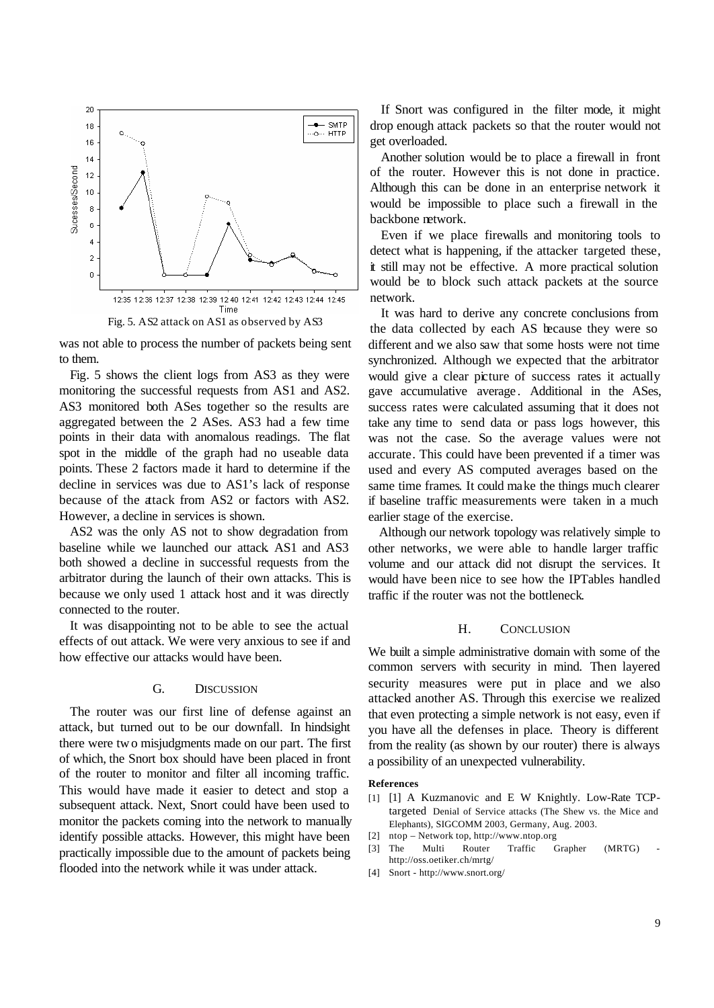

Fig. 5. AS2 attack on AS1 as observed by AS3

was not able to process the number of packets being sent to them.

Fig. 5 shows the client logs from AS3 as they were monitoring the successful requests from AS1 and AS2. AS3 monitored both ASes together so the results are aggregated between the 2 ASes. AS3 had a few time points in their data with anomalous readings. The flat spot in the middle of the graph had no useable data points. These 2 factors made it hard to determine if the decline in services was due to AS1's lack of response because of the attack from AS2 or factors with AS2. However, a decline in services is shown.

AS2 was the only AS not to show degradation from baseline while we launched our attack. AS1 and AS3 both showed a decline in successful requests from the arbitrator during the launch of their own attacks. This is because we only used 1 attack host and it was directly connected to the router.

It was disappointing not to be able to see the actual effects of out attack. We were very anxious to see if and how effective our attacks would have been.

#### G. DISCUSSION

The router was our first line of defense against an attack, but turned out to be our downfall. In hindsight there were two misjudgments made on our part. The first of which, the Snort box should have been placed in front of the router to monitor and filter all incoming traffic. This would have made it easier to detect and stop a subsequent attack. Next, Snort could have been used to monitor the packets coming into the network to manually identify possible attacks. However, this might have been practically impossible due to the amount of packets being flooded into the network while it was under attack.

If Snort was configured in the filter mode, it might drop enough attack packets so that the router would not get overloaded.

Another solution would be to place a firewall in front of the router. However this is not done in practice. Although this can be done in an enterprise network it would be impossible to place such a firewall in the backbone network.

Even if we place firewalls and monitoring tools to detect what is happening, if the attacker targeted these, it still may not be effective. A more practical solution would be to block such attack packets at the source network.

It was hard to derive any concrete conclusions from the data collected by each AS because they were so different and we also saw that some hosts were not time synchronized. Although we expected that the arbitrator would give a clear picture of success rates it actually gave accumulative average. Additional in the ASes, success rates were calculated assuming that it does not take any time to send data or pass logs however, this was not the case. So the average values were not accurate. This could have been prevented if a timer was used and every AS computed averages based on the same time frames. It could make the things much clearer if baseline traffic measurements were taken in a much earlier stage of the exercise.

Although our network topology was relatively simple to other networks, we were able to handle larger traffic volume and our attack did not disrupt the services. It would have been nice to see how the IPTables handled traffic if the router was not the bottleneck.

#### H. CONCLUSION

We built a simple administrative domain with some of the common servers with security in mind. Then layered security measures were put in place and we also attacked another AS. Through this exercise we realized that even protecting a simple network is not easy, even if you have all the defenses in place. Theory is different from the reality (as shown by our router) there is always a possibility of an unexpected vulnerability.

#### **References**

- [1] [1] A Kuzmanovic and E W Knightly. Low-Rate TCPtargeted Denial of Service attacks (The Shew vs. the Mice and Elephants), SIGCOMM 2003, Germany, Aug. 2003.
- [2] ntop Network top, http://www.ntop.org [3] The Multi Router Traffic Grapher (MRTG)
- http://oss.oetiker.ch/mrtg/
- [4] Snort http://www.snort.org/